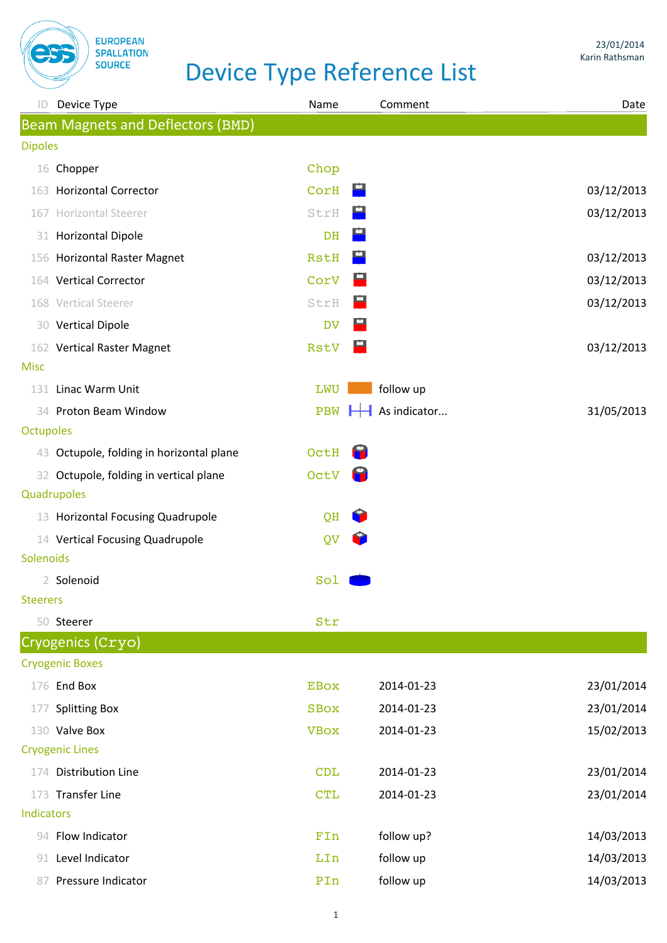

| Device Type<br>ID.                        | Name        | Comment                                              | Date       |
|-------------------------------------------|-------------|------------------------------------------------------|------------|
| <b>Beam Magnets and Deflectors (BMD)</b>  |             |                                                      |            |
| <b>Dipoles</b>                            |             |                                                      |            |
| 16 Chopper                                | Chop        |                                                      |            |
| 163 Horizontal Corrector                  | CorH        | œ.                                                   | 03/12/2013 |
| Horizontal Steerer<br>167                 | StrH        |                                                      | 03/12/2013 |
| <b>Horizontal Dipole</b><br>31            | DH          |                                                      |            |
| 156 Horizontal Raster Magnet              | <b>RstH</b> |                                                      | 03/12/2013 |
| 164 Vertical Corrector                    | CorV        |                                                      | 03/12/2013 |
| 168 Vertical Steerer                      | StrH        |                                                      | 03/12/2013 |
| 30 Vertical Dipole                        | <b>DV</b>   |                                                      |            |
| 162 Vertical Raster Magnet                | <b>RstV</b> | 쁘                                                    | 03/12/2013 |
| <b>Misc</b>                               |             |                                                      |            |
| Linac Warm Unit<br>131                    | LWU         | follow up                                            |            |
| 34 Proton Beam Window                     | <b>PBW</b>  | $\overline{\phantom{a}}$ As indicator<br>$\mathbb H$ | 31/05/2013 |
| <b>Octupoles</b>                          |             |                                                      |            |
| 43 Octupole, folding in horizontal plane  | OctH        |                                                      |            |
| Octupole, folding in vertical plane<br>32 | OctV        |                                                      |            |
| Quadrupoles                               |             |                                                      |            |
| 13 Horizontal Focusing Quadrupole         | QH          |                                                      |            |
| 14 Vertical Focusing Quadrupole           | QV          |                                                      |            |
| Solenoids                                 |             |                                                      |            |
| 2 Solenoid<br><b>Steerers</b>             | Sol         |                                                      |            |
| 50 Steerer                                | Str         |                                                      |            |
| Cryogenics (Cryo)                         |             |                                                      |            |
| <b>Cryogenic Boxes</b>                    |             |                                                      |            |
| 176 End Box                               | <b>EBOX</b> | 2014-01-23                                           | 23/01/2014 |
| <b>Splitting Box</b><br>177               | <b>SBOX</b> | 2014-01-23                                           | 23/01/2014 |
| Valve Box<br>130                          | <b>VBOX</b> | 2014-01-23                                           | 15/02/2013 |
| <b>Cryogenic Lines</b>                    |             |                                                      |            |
| 174 Distribution Line                     | <b>CDL</b>  | 2014-01-23                                           | 23/01/2014 |
| 173 Transfer Line                         | <b>CTL</b>  | 2014-01-23                                           | 23/01/2014 |
| Indicators                                |             |                                                      |            |
| 94 Flow Indicator                         | FIn         | follow up?                                           | 14/03/2013 |
| Level Indicator<br>91.                    | LIn         | follow up                                            | 14/03/2013 |
| Pressure Indicator<br>87                  | PIn         | follow up                                            | 14/03/2013 |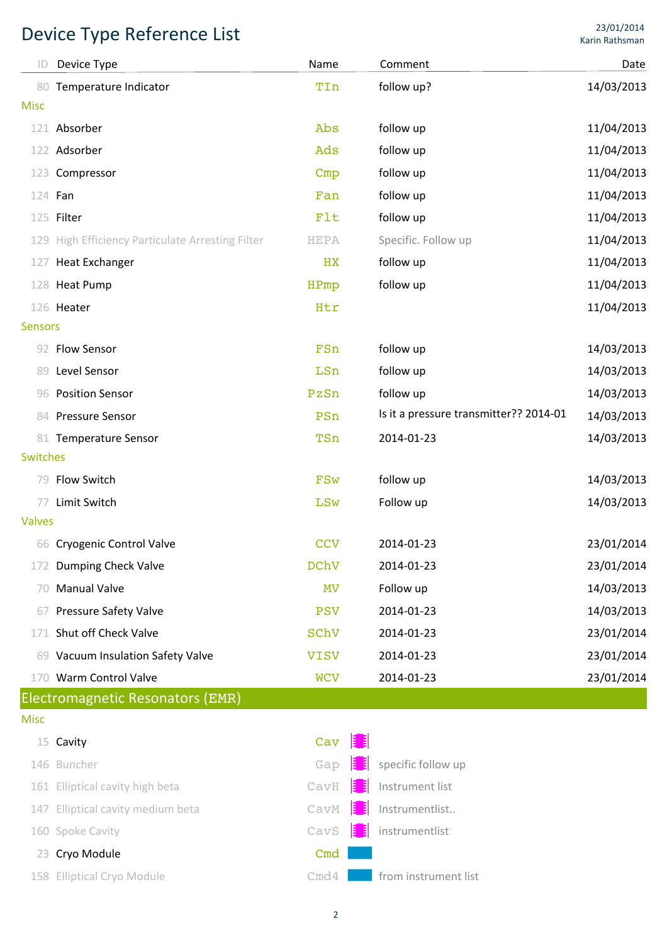| ID              | Device Type                                      | Name        | Comment                                | Date       |
|-----------------|--------------------------------------------------|-------------|----------------------------------------|------------|
| 80              | Temperature Indicator                            | TIn         | follow up?                             | 14/03/2013 |
| <b>Misc</b>     |                                                  |             |                                        |            |
| 121             | Absorber                                         | Abs         | follow up                              | 11/04/2013 |
| 122             | Adsorber                                         | Ads         | follow up                              | 11/04/2013 |
| 123             | Compressor                                       | Cmp         | follow up                              | 11/04/2013 |
|                 | 124 Fan                                          | Fan         | follow up                              | 11/04/2013 |
|                 | 125 Filter                                       | Flt         | follow up                              | 11/04/2013 |
|                 | 129 High Efficiency Particulate Arresting Filter | <b>HEPA</b> | Specific. Follow up                    | 11/04/2013 |
| 127             | <b>Heat Exchanger</b>                            | HX          | follow up                              | 11/04/2013 |
|                 | 128 Heat Pump                                    | HPmp        | follow up                              | 11/04/2013 |
|                 | 126 Heater                                       | Htr         |                                        | 11/04/2013 |
| <b>Sensors</b>  |                                                  |             |                                        |            |
|                 | 92 Flow Sensor                                   | FSn         | follow up                              | 14/03/2013 |
| 89              | Level Sensor                                     | LSn         | follow up                              | 14/03/2013 |
| 96              | <b>Position Sensor</b>                           | PzSn        | follow up                              | 14/03/2013 |
|                 | 84 Pressure Sensor                               | PSn         | Is it a pressure transmitter?? 2014-01 | 14/03/2013 |
| 81              | <b>Temperature Sensor</b>                        | TSn         | 2014-01-23                             | 14/03/2013 |
| <b>Switches</b> |                                                  |             |                                        |            |
|                 | 79 Flow Switch                                   | <b>FSw</b>  | follow up                              | 14/03/2013 |
| 77              | Limit Switch                                     | LSw         | Follow up                              | 14/03/2013 |
| <b>Valves</b>   |                                                  |             |                                        |            |
|                 | 66 Cryogenic Control Valve                       | CCV         | 2014-01-23                             | 23/01/2014 |
| 172             | Dumping Check Valve                              | <b>DChV</b> | 2014-01-23                             | 23/01/2014 |
| 70              | <b>Manual Valve</b>                              | <b>MV</b>   | Follow up                              | 14/03/2013 |
| 67              | <b>Pressure Safety Valve</b>                     | <b>PSV</b>  | 2014-01-23                             | 14/03/2013 |
| 171             | Shut off Check Valve                             | SChV        | 2014-01-23                             | 23/01/2014 |
| 69              | Vacuum Insulation Safety Valve                   | <b>VISV</b> | 2014-01-23                             | 23/01/2014 |
|                 | 170 Warm Control Valve                           | <b>WCV</b>  | 2014-01-23                             | 23/01/2014 |
|                 | Electromagnetic Resonators (EMR)                 |             |                                        |            |
| <b>Misc</b>     |                                                  |             |                                        |            |
|                 | 15 Cavity                                        | HE<br>Cav   |                                        |            |
|                 | 146 Buncher                                      | E E<br>Gap  | specific follow up                     |            |
|                 | 161 Elliptical cavity high beta                  | EE<br>CavH  | Instrument list                        |            |
| 147             | Elliptical cavity medium beta                    | CavM        | Instrumentlist<br>Е                    |            |
|                 | 160 Spoke Cavity                                 | CavS        | instrumentlist<br>Б                    |            |
|                 | 23 Cryo Module                                   | Cmd         |                                        |            |
|                 | 158 Elliptical Cryo Module                       | Cmd4        | from instrument list                   |            |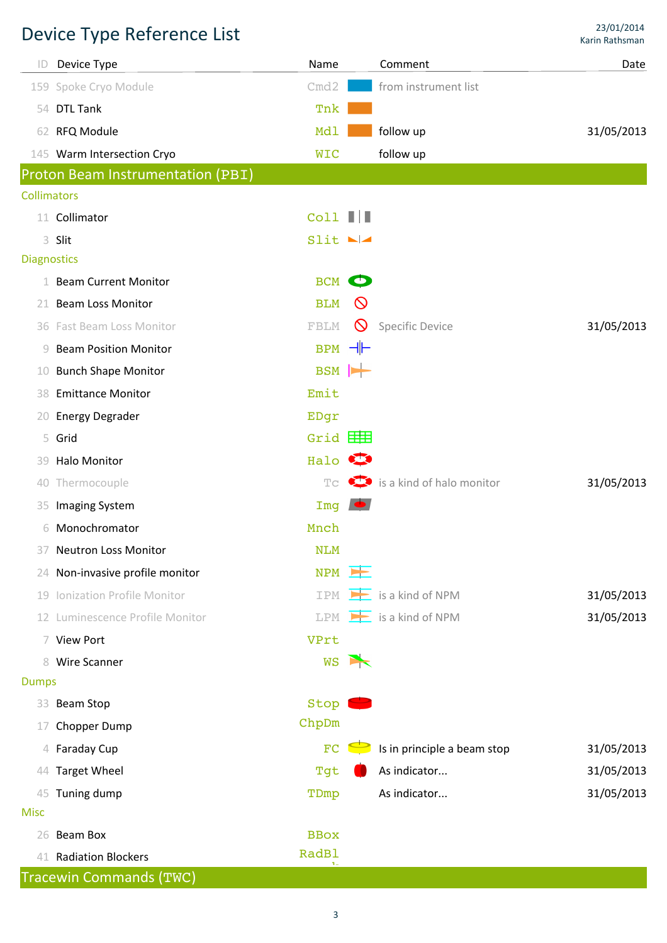| ID                 | Device Type                       | Name                |                       | Comment                             | Date       |
|--------------------|-----------------------------------|---------------------|-----------------------|-------------------------------------|------------|
|                    | 159 Spoke Cryo Module             | Cmd2                |                       | from instrument list                |            |
|                    | 54 DTL Tank                       | Tnk                 |                       |                                     |            |
|                    | 62 RFQ Module                     | Mdl                 |                       | follow up                           | 31/05/2013 |
|                    | 145 Warm Intersection Cryo        | <b>WIC</b>          |                       | follow up                           |            |
|                    | Proton Beam Instrumentation (PBI) |                     |                       |                                     |            |
| <b>Collimators</b> |                                   |                     |                       |                                     |            |
|                    | 11 Collimator                     | $\text{Coll}$       |                       |                                     |            |
|                    | 3 Slit                            | Slit                |                       |                                     |            |
| <b>Diagnostics</b> |                                   |                     |                       |                                     |            |
|                    | 1 Beam Current Monitor            | <b>BCM</b>          | $\bullet$             |                                     |            |
|                    | 21 Beam Loss Monitor              | <b>BLM</b>          | $\circledcirc$        |                                     |            |
|                    | 36 Fast Beam Loss Monitor         | FBLM                | $\circ$               | <b>Specific Device</b>              | 31/05/2013 |
| 9                  | <b>Beam Position Monitor</b>      | $BPM$ -             |                       |                                     |            |
| 10                 | <b>Bunch Shape Monitor</b>        | BSM H               |                       |                                     |            |
| 38                 | <b>Emittance Monitor</b>          | Emit                |                       |                                     |            |
| 20                 | <b>Energy Degrader</b>            | EDgr                |                       |                                     |            |
|                    | 5 Grid                            | Grid $\boxplus$     |                       |                                     |            |
| 39.                | <b>Halo Monitor</b>               | Halo <b>O</b>       |                       |                                     |            |
| 40                 | Thermocouple                      | T <sub>C</sub>      |                       | $\bullet$ is a kind of halo monitor | 31/05/2013 |
| 35                 | Imaging System                    | Imq                 |                       |                                     |            |
| 6                  | Monochromator                     | Mnch                |                       |                                     |            |
|                    | 37 Neutron Loss Monitor           | NLM                 |                       |                                     |            |
|                    | 24 Non-invasive profile monitor   | $NPM$ $\rightarrow$ |                       |                                     |            |
|                    | 19 Ionization Profile Monitor     | IPM                 | $\rightarrow$         | is a kind of NPM                    | 31/05/2013 |
|                    | 12 Luminescence Profile Monitor   | LPM                 |                       | $\mathbf{E}$ is a kind of NPM       | 31/05/2013 |
|                    | 7 View Port                       | VPrt                |                       |                                     |            |
|                    | 8 Wire Scanner                    | <b>WS</b>           | $\blacktriangleright$ |                                     |            |
| <b>Dumps</b>       |                                   |                     |                       |                                     |            |
|                    | 33 Beam Stop                      | Stop                |                       |                                     |            |
| 17                 | Chopper Dump                      | ChpDm               |                       |                                     |            |
|                    | 4 Faraday Cup                     | FC                  |                       | Is in principle a beam stop         | 31/05/2013 |
| 44                 | <b>Target Wheel</b>               | Tgt                 |                       | As indicator                        | 31/05/2013 |
|                    | 45 Tuning dump                    | TDmp                |                       | As indicator                        | 31/05/2013 |
| <b>Misc</b>        |                                   |                     |                       |                                     |            |
| 26                 | Beam Box                          | <b>BBOX</b>         |                       |                                     |            |
|                    | 41 Radiation Blockers             | <b>RadBl</b>        |                       |                                     |            |
|                    | Tracewin Commands (TWC)           |                     |                       |                                     |            |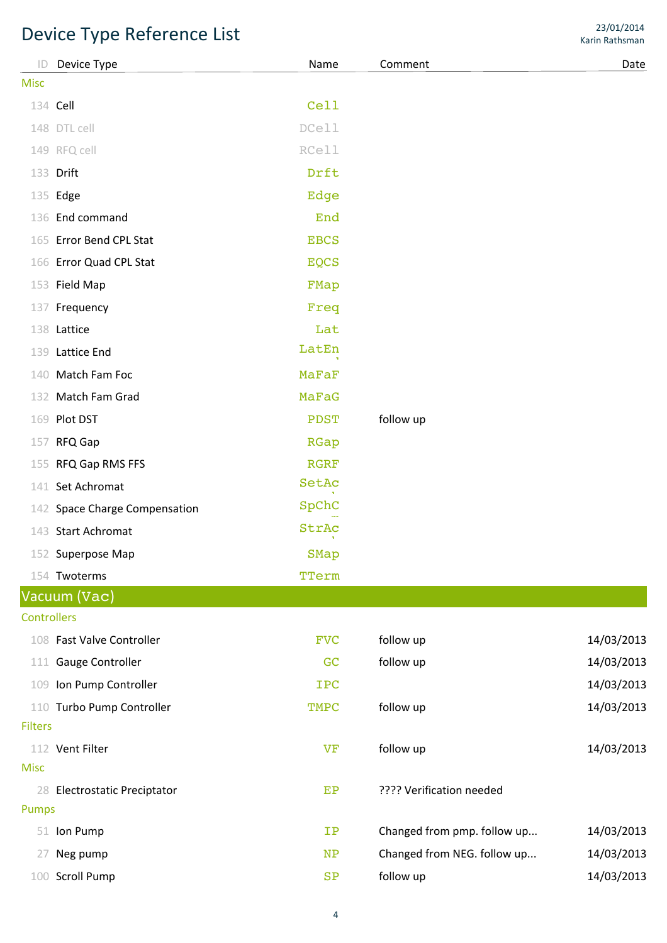|                    | Device Type Reference List    |              |                             | Karin Rathsman |
|--------------------|-------------------------------|--------------|-----------------------------|----------------|
| ID                 | Device Type                   | Name         | Comment                     | Date           |
| <b>Misc</b>        |                               |              |                             |                |
|                    | 134 Cell                      | Cell         |                             |                |
|                    | 148 DTL cell                  | DCell        |                             |                |
|                    | 149 RFQ cell                  | <b>RCell</b> |                             |                |
|                    | 133 Drift                     | Drft         |                             |                |
|                    | 135 Edge                      | Edge         |                             |                |
|                    | 136 End command               | End          |                             |                |
|                    | 165 Error Bend CPL Stat       | <b>EBCS</b>  |                             |                |
|                    | 166 Error Quad CPL Stat       | <b>EQCS</b>  |                             |                |
|                    | 153 Field Map                 | FMap         |                             |                |
| 137                | Frequency                     | Freq         |                             |                |
|                    | 138 Lattice                   | Lat          |                             |                |
|                    | 139 Lattice End               | LatEn        |                             |                |
| 140                | Match Fam Foc                 | MaFaF        |                             |                |
|                    | 132 Match Fam Grad            | MaFaG        |                             |                |
|                    | 169 Plot DST                  | PDST         | follow up                   |                |
| 157                | RFQ Gap                       | RGap         |                             |                |
|                    | 155 RFQ Gap RMS FFS           | <b>RGRF</b>  |                             |                |
|                    | 141 Set Achromat              | SetAc        |                             |                |
|                    | 142 Space Charge Compensation | SpChC        |                             |                |
|                    | 143 Start Achromat            | StrAc        |                             |                |
|                    | 152 Superpose Map             | SMap         |                             |                |
|                    | 154 Twoterms                  | TTerm        |                             |                |
|                    | Vacuum (Vac)                  |              |                             |                |
| <b>Controllers</b> |                               |              |                             |                |
|                    | 108 Fast Valve Controller     | <b>FVC</b>   | follow up                   | 14/03/2013     |
| 111                | Gauge Controller              | GC           | follow up                   | 14/03/2013     |
| 109                | Ion Pump Controller           | <b>IPC</b>   |                             | 14/03/2013     |
|                    | 110 Turbo Pump Controller     | TMPC         | follow up                   | 14/03/2013     |
| <b>Filters</b>     |                               |              |                             |                |
|                    | 112 Vent Filter               | VF           | follow up                   | 14/03/2013     |
| <b>Misc</b>        |                               |              |                             |                |
|                    | 28 Electrostatic Preciptator  | EP           | ???? Verification needed    |                |
| <b>Pumps</b>       |                               |              |                             |                |
|                    | 51 Ion Pump                   | $_{\rm IP}$  | Changed from pmp. follow up | 14/03/2013     |
| 27                 | Neg pump                      | <b>NP</b>    | Changed from NEG. follow up | 14/03/2013     |
| 100                | <b>Scroll Pump</b>            | SP           | follow up                   | 14/03/2013     |

23/01/2014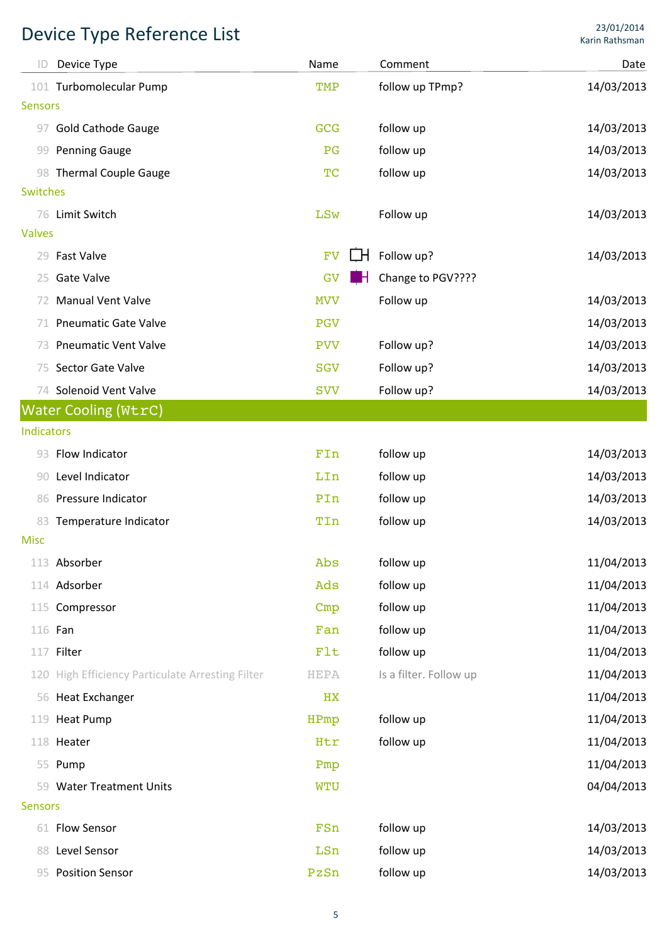| ID              | Device Type                                      | Name        | Comment                | Date       |
|-----------------|--------------------------------------------------|-------------|------------------------|------------|
| 101             | <b>Turbomolecular Pump</b>                       | TMP         | follow up TPmp?        | 14/03/2013 |
| <b>Sensors</b>  |                                                  |             |                        |            |
| 97              | <b>Gold Cathode Gauge</b>                        | GCG         | follow up              | 14/03/2013 |
| 99              | <b>Penning Gauge</b>                             | PG          | follow up              | 14/03/2013 |
|                 | 98 Thermal Couple Gauge                          | TC          | follow up              | 14/03/2013 |
| <b>Switches</b> |                                                  |             |                        |            |
| 76              | Limit Switch                                     | LSw         | Follow up              | 14/03/2013 |
| <b>Valves</b>   |                                                  |             |                        |            |
| 29              | <b>Fast Valve</b>                                | <b>FV</b>   | Follow up?             | 14/03/2013 |
| 25              | <b>Gate Valve</b>                                | GV<br>- 8   | Change to PGV????      |            |
| 72              | <b>Manual Vent Valve</b>                         | <b>MVV</b>  | Follow up              | 14/03/2013 |
| 71              | <b>Pneumatic Gate Valve</b>                      | <b>PGV</b>  |                        | 14/03/2013 |
| 73              | <b>Pneumatic Vent Valve</b>                      | <b>PVV</b>  | Follow up?             | 14/03/2013 |
| 75              | Sector Gate Valve                                | <b>SGV</b>  | Follow up?             | 14/03/2013 |
|                 | 74 Solenoid Vent Valve                           | <b>SVV</b>  | Follow up?             | 14/03/2013 |
|                 | <b>Water Cooling (WtrC)</b>                      |             |                        |            |
| Indicators      |                                                  |             |                        |            |
| 93              | Flow Indicator                                   | FIn         | follow up              | 14/03/2013 |
| 90              | Level Indicator                                  | LIn         | follow up              | 14/03/2013 |
| 86              | Pressure Indicator                               | PIn         | follow up              | 14/03/2013 |
| 83              | Temperature Indicator                            | TIn         | follow up              | 14/03/2013 |
| <b>Misc</b>     |                                                  |             |                        |            |
|                 | 113 Absorber                                     | Abs         | follow up              | 11/04/2013 |
|                 | 114 Adsorber                                     | Ads         | follow up              | 11/04/2013 |
|                 | 115 Compressor                                   | Cmp         | follow up              | 11/04/2013 |
| 116 Fan         |                                                  | Fan         | follow up              | 11/04/2013 |
|                 | 117 Filter                                       | Flt         | follow up              | 11/04/2013 |
|                 | 120 High Efficiency Particulate Arresting Filter | <b>HEPA</b> | Is a filter. Follow up | 11/04/2013 |
| 56              | <b>Heat Exchanger</b>                            | HX          |                        | 11/04/2013 |
| 119             | <b>Heat Pump</b>                                 | HPmp        | follow up              | 11/04/2013 |
|                 | 118 Heater                                       | Htr         | follow up              | 11/04/2013 |
|                 | 55 Pump                                          | Pmp         |                        | 11/04/2013 |
| 59              | <b>Water Treatment Units</b>                     | <b>WTU</b>  |                        | 04/04/2013 |
| <b>Sensors</b>  |                                                  |             |                        |            |
| 61              | <b>Flow Sensor</b>                               | FSn         | follow up              | 14/03/2013 |
| 88              | Level Sensor                                     | LSn         | follow up              | 14/03/2013 |
|                 | 95 Position Sensor                               | PzSn        | follow up              | 14/03/2013 |